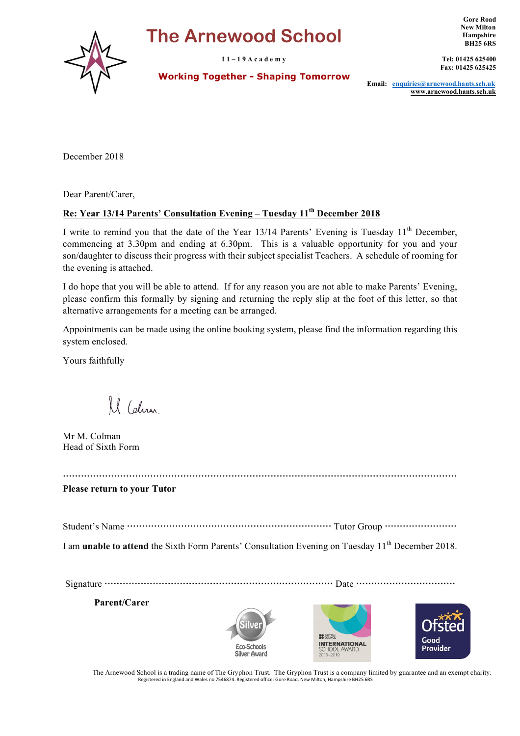# **The Arnewood School**

**1 1 – 1 9 A c a d e m y**

 **Working Together - Shaping Tomorrow**

**Gore Road New Milton Hampshire BH25 6RS**

**Tel: 01425 625400 Fax: 01425 625425**

**Email: enquiries@arnewood.hants.sch.uk www.arnewood.hants.sch.uk**

December 2018

Dear Parent/Carer,

## **Re: Year 13/14 Parents' Consultation Evening – Tuesday 11th December 2018**

I write to remind you that the date of the Year 13/14 Parents' Evening is Tuesday 11<sup>th</sup> December, commencing at 3.30pm and ending at 6.30pm. This is a valuable opportunity for you and your son/daughter to discuss their progress with their subject specialist Teachers. A schedule of rooming for the evening is attached.

I do hope that you will be able to attend. If for any reason you are not able to make Parents' Evening, please confirm this formally by signing and returning the reply slip at the foot of this letter, so that alternative arrangements for a meeting can be arranged.

Appointments can be made using the online booking system, please find the information regarding this system enclosed.

Yours faithfully

M. Colina

Mr M. Colman Head of Sixth Form

 **Please return to your Tutor**

Student's Name Tutor Group

I am **unable to attend** the Sixth Form Parents' Consultation Evening on Tuesday 11<sup>th</sup> December 2018.

Signature Date

**Parent/Carer**







The Arnewood School is a trading name of The Gryphon Trust. The Gryphon Trust is a company limited by guarantee and an exempt charity. Registered in England and Wales no 7546874. Registered office: Gore Road, New Milton, Hampshire BH25 6RS